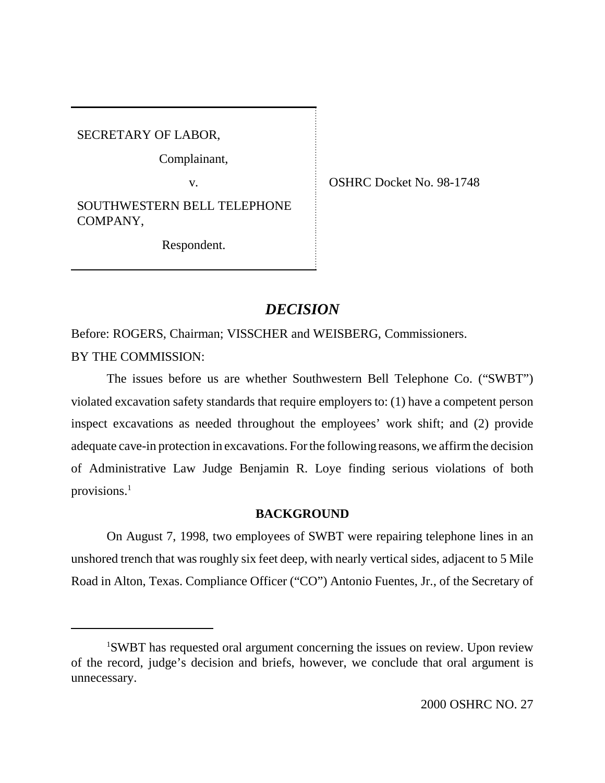SECRETARY OF LABOR,

Complainant,

SOUTHWESTERN BELL TELEPHONE COMPANY,

Respondent.

v. CSHRC Docket No. 98-1748

# *DECISION*

Before: ROGERS, Chairman; VISSCHER and WEISBERG, Commissioners. BY THE COMMISSION:

The issues before us are whether Southwestern Bell Telephone Co. ("SWBT") violated excavation safety standards that require employers to: (1) have a competent person inspect excavations as needed throughout the employees' work shift; and (2) provide adequate cave-in protection in excavations. For the following reasons, we affirm the decision of Administrative Law Judge Benjamin R. Loye finding serious violations of both provisions.<sup>1</sup>

# **BACKGROUND**

On August 7, 1998, two employees of SWBT were repairing telephone lines in an unshored trench that was roughly six feet deep, with nearly vertical sides, adjacent to 5 Mile Road in Alton, Texas. Compliance Officer ("CO") Antonio Fuentes, Jr., of the Secretary of

<sup>1</sup> SWBT has requested oral argument concerning the issues on review. Upon review of the record, judge's decision and briefs, however, we conclude that oral argument is unnecessary.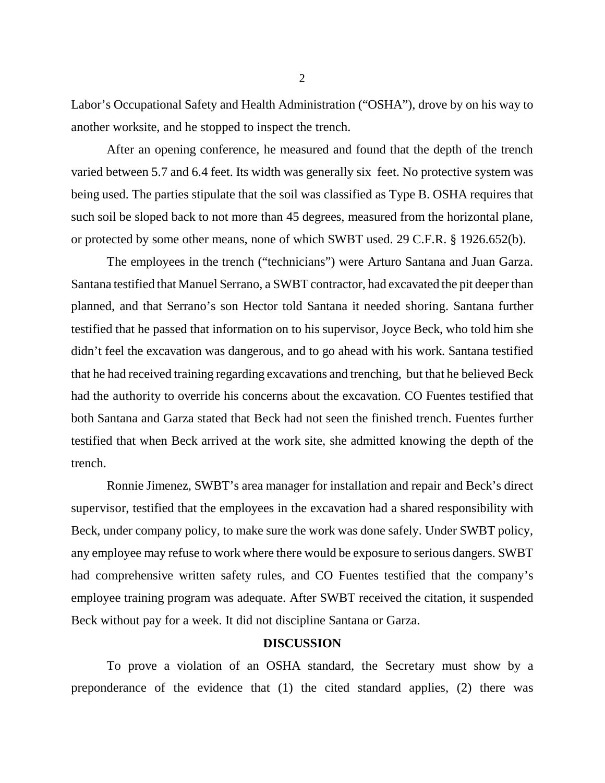Labor's Occupational Safety and Health Administration ("OSHA"), drove by on his way to another worksite, and he stopped to inspect the trench.

After an opening conference, he measured and found that the depth of the trench varied between 5.7 and 6.4 feet. Its width was generally six feet. No protective system was being used. The parties stipulate that the soil was classified as Type B. OSHA requires that such soil be sloped back to not more than 45 degrees, measured from the horizontal plane, or protected by some other means, none of which SWBT used. 29 C.F.R. § 1926.652(b).

The employees in the trench ("technicians") were Arturo Santana and Juan Garza. Santana testified that Manuel Serrano, a SWBT contractor, had excavated the pit deeper than planned, and that Serrano's son Hector told Santana it needed shoring. Santana further testified that he passed that information on to his supervisor, Joyce Beck, who told him she didn't feel the excavation was dangerous, and to go ahead with his work. Santana testified that he had received training regarding excavations and trenching, but that he believed Beck had the authority to override his concerns about the excavation. CO Fuentes testified that both Santana and Garza stated that Beck had not seen the finished trench. Fuentes further testified that when Beck arrived at the work site, she admitted knowing the depth of the trench.

Ronnie Jimenez, SWBT's area manager for installation and repair and Beck's direct supervisor, testified that the employees in the excavation had a shared responsibility with Beck, under company policy, to make sure the work was done safely. Under SWBT policy, any employee may refuse to work where there would be exposure to serious dangers. SWBT had comprehensive written safety rules, and CO Fuentes testified that the company's employee training program was adequate. After SWBT received the citation, it suspended Beck without pay for a week. It did not discipline Santana or Garza.

## **DISCUSSION**

To prove a violation of an OSHA standard, the Secretary must show by a preponderance of the evidence that (1) the cited standard applies, (2) there was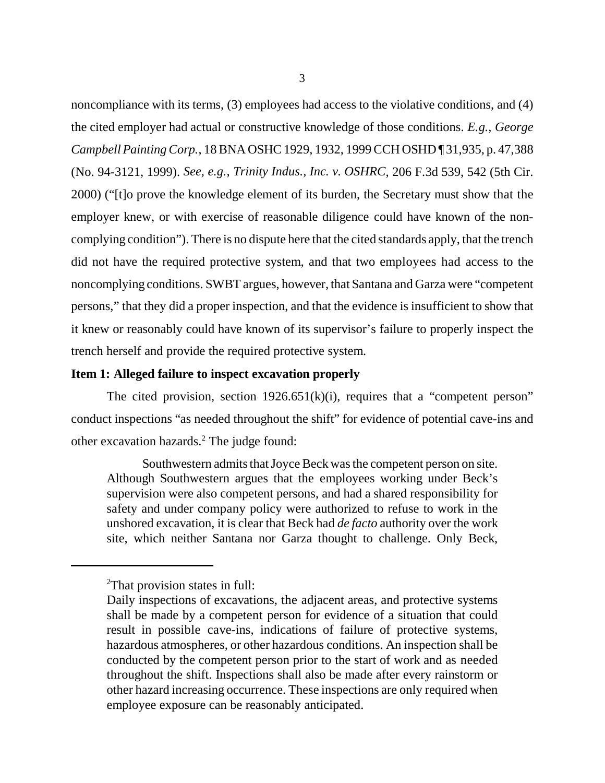noncompliance with its terms, (3) employees had access to the violative conditions, and (4) the cited employer had actual or constructive knowledge of those conditions. *E.g., George Campbell Painting Corp.*, 18 BNA OSHC 1929, 1932, 1999 CCH OSHD ¶ 31,935, p. 47,388 (No. 94-3121, 1999). *See, e.g., Trinity Indus., Inc. v. OSHRC*, 206 F.3d 539, 542 (5th Cir. 2000) ("[t]o prove the knowledge element of its burden, the Secretary must show that the employer knew, or with exercise of reasonable diligence could have known of the noncomplying condition"). There is no dispute here that the cited standards apply, that the trench did not have the required protective system, and that two employees had access to the noncomplying conditions. SWBT argues, however, that Santana and Garza were "competent persons," that they did a proper inspection, and that the evidence is insufficient to show that it knew or reasonably could have known of its supervisor's failure to properly inspect the trench herself and provide the required protective system.

## **Item 1: Alleged failure to inspect excavation properly**

The cited provision, section 1926.651(k)(i), requires that a "competent person" conduct inspections "as needed throughout the shift" for evidence of potential cave-ins and other excavation hazards.<sup>2</sup> The judge found:

Southwestern admits that Joyce Beck was the competent person on site. Although Southwestern argues that the employees working under Beck's supervision were also competent persons, and had a shared responsibility for safety and under company policy were authorized to refuse to work in the unshored excavation, it is clear that Beck had *de facto* authority over the work site, which neither Santana nor Garza thought to challenge. Only Beck,

<sup>&</sup>lt;sup>2</sup>That provision states in full:

Daily inspections of excavations, the adjacent areas, and protective systems shall be made by a competent person for evidence of a situation that could result in possible cave-ins, indications of failure of protective systems, hazardous atmospheres, or other hazardous conditions. An inspection shall be conducted by the competent person prior to the start of work and as needed throughout the shift. Inspections shall also be made after every rainstorm or other hazard increasing occurrence. These inspections are only required when employee exposure can be reasonably anticipated.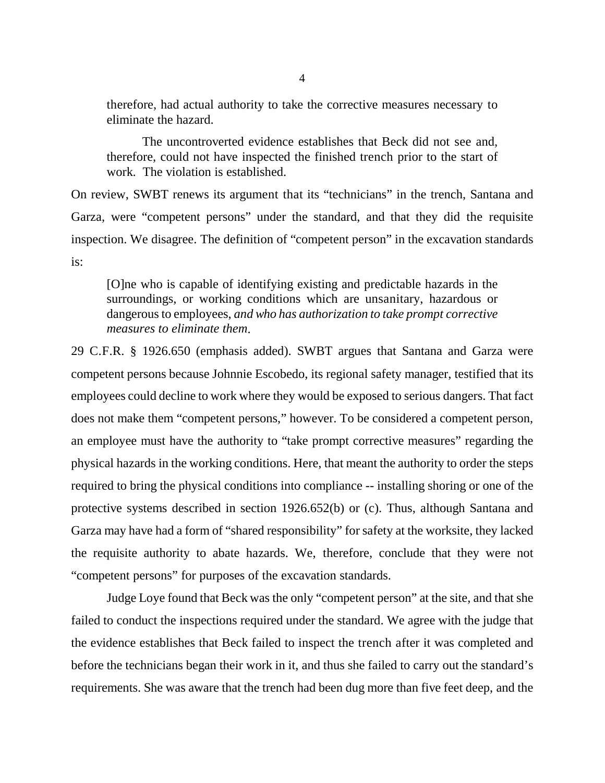therefore, had actual authority to take the corrective measures necessary to eliminate the hazard.

The uncontroverted evidence establishes that Beck did not see and, therefore, could not have inspected the finished trench prior to the start of work. The violation is established.

On review, SWBT renews its argument that its "technicians" in the trench, Santana and Garza, were "competent persons" under the standard, and that they did the requisite inspection. We disagree. The definition of "competent person" in the excavation standards is:

[O]ne who is capable of identifying existing and predictable hazards in the surroundings, or working conditions which are unsanitary, hazardous or dangerous to employees, *and who has authorization to take prompt corrective measures to eliminate them*.

29 C.F.R. § 1926.650 (emphasis added). SWBT argues that Santana and Garza were competent persons because Johnnie Escobedo, its regional safety manager, testified that its employees could decline to work where they would be exposed to serious dangers. That fact does not make them "competent persons," however. To be considered a competent person, an employee must have the authority to "take prompt corrective measures" regarding the physical hazards in the working conditions. Here, that meant the authority to order the steps required to bring the physical conditions into compliance -- installing shoring or one of the protective systems described in section 1926.652(b) or (c). Thus, although Santana and Garza may have had a form of "shared responsibility" for safety at the worksite, they lacked the requisite authority to abate hazards. We, therefore, conclude that they were not "competent persons" for purposes of the excavation standards.

Judge Loye found that Beck was the only "competent person" at the site, and that she failed to conduct the inspections required under the standard. We agree with the judge that the evidence establishes that Beck failed to inspect the trench after it was completed and before the technicians began their work in it, and thus she failed to carry out the standard's requirements. She was aware that the trench had been dug more than five feet deep, and the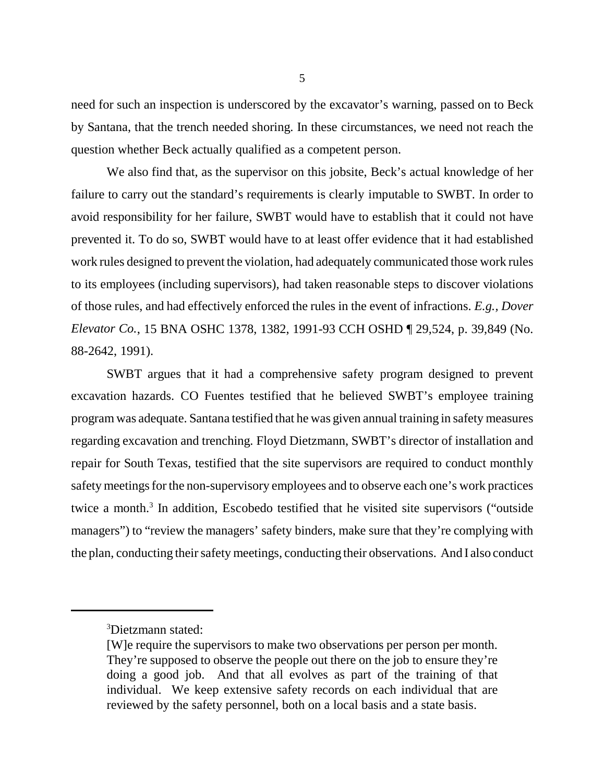need for such an inspection is underscored by the excavator's warning, passed on to Beck by Santana, that the trench needed shoring. In these circumstances, we need not reach the question whether Beck actually qualified as a competent person.

We also find that, as the supervisor on this jobsite, Beck's actual knowledge of her failure to carry out the standard's requirements is clearly imputable to SWBT. In order to avoid responsibility for her failure, SWBT would have to establish that it could not have prevented it. To do so, SWBT would have to at least offer evidence that it had established work rules designed to prevent the violation, had adequately communicated those work rules to its employees (including supervisors), had taken reasonable steps to discover violations of those rules, and had effectively enforced the rules in the event of infractions. *E.g., Dover Elevator Co.*, 15 BNA OSHC 1378, 1382, 1991-93 CCH OSHD ¶ 29,524, p. 39,849 (No. 88-2642, 1991).

SWBT argues that it had a comprehensive safety program designed to prevent excavation hazards. CO Fuentes testified that he believed SWBT's employee training program was adequate. Santana testified that he was given annual training in safety measures regarding excavation and trenching. Floyd Dietzmann, SWBT's director of installation and repair for South Texas, testified that the site supervisors are required to conduct monthly safety meetings for the non-supervisory employees and to observe each one's work practices twice a month.<sup>3</sup> In addition, Escobedo testified that he visited site supervisors ("outside managers") to "review the managers' safety binders, make sure that they're complying with the plan, conducting their safety meetings, conducting their observations. And I also conduct

<sup>3</sup> Dietzmann stated:

<sup>[</sup>W]e require the supervisors to make two observations per person per month. They're supposed to observe the people out there on the job to ensure they're doing a good job. And that all evolves as part of the training of that individual. We keep extensive safety records on each individual that are reviewed by the safety personnel, both on a local basis and a state basis.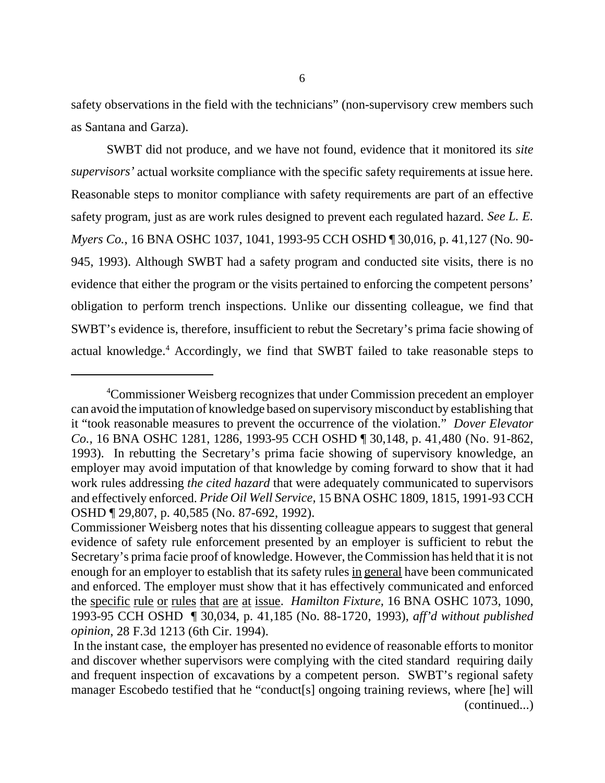safety observations in the field with the technicians" (non-supervisory crew members such as Santana and Garza).

SWBT did not produce, and we have not found, evidence that it monitored its *site supervisors'* actual worksite compliance with the specific safety requirements at issue here. Reasonable steps to monitor compliance with safety requirements are part of an effective safety program, just as are work rules designed to prevent each regulated hazard. *See L. E. Myers Co.*, 16 BNA OSHC 1037, 1041, 1993-95 CCH OSHD ¶ 30,016, p. 41,127 (No. 90- 945, 1993). Although SWBT had a safety program and conducted site visits, there is no evidence that either the program or the visits pertained to enforcing the competent persons' obligation to perform trench inspections. Unlike our dissenting colleague, we find that SWBT's evidence is, therefore, insufficient to rebut the Secretary's prima facie showing of actual knowledge.<sup>4</sup> Accordingly, we find that SWBT failed to take reasonable steps to

<sup>4</sup> Commissioner Weisberg recognizes that under Commission precedent an employer can avoid the imputation of knowledge based on supervisory misconduct by establishing that it "took reasonable measures to prevent the occurrence of the violation." *Dover Elevator Co.,* 16 BNA OSHC 1281, 1286, 1993-95 CCH OSHD ¶ 30,148, p. 41,480 (No. 91-862, 1993). In rebutting the Secretary's prima facie showing of supervisory knowledge, an employer may avoid imputation of that knowledge by coming forward to show that it had work rules addressing *the cited hazard* that were adequately communicated to supervisors and effectively enforced. *Pride Oil Well Service,* 15 BNA OSHC 1809, 1815, 1991-93 CCH OSHD ¶ 29,807, p. 40,585 (No. 87-692, 1992).

Commissioner Weisberg notes that his dissenting colleague appears to suggest that general evidence of safety rule enforcement presented by an employer is sufficient to rebut the Secretary's prima facie proof of knowledge. However, the Commission has held that it is not enough for an employer to establish that its safety rules in general have been communicated and enforced. The employer must show that it has effectively communicated and enforced the specific rule or rules that are at issue. *Hamilton Fixture,* 16 BNA OSHC 1073, 1090, 1993-95 CCH OSHD ¶ 30,034, p. 41,185 (No. 88-1720, 1993), *aff'd without published opinion*, 28 F.3d 1213 (6th Cir. 1994).

In the instant case, the employer has presented no evidence of reasonable efforts to monitor and discover whether supervisors were complying with the cited standard requiring daily and frequent inspection of excavations by a competent person. SWBT's regional safety manager Escobedo testified that he "conduct[s] ongoing training reviews, where [he] will (continued...)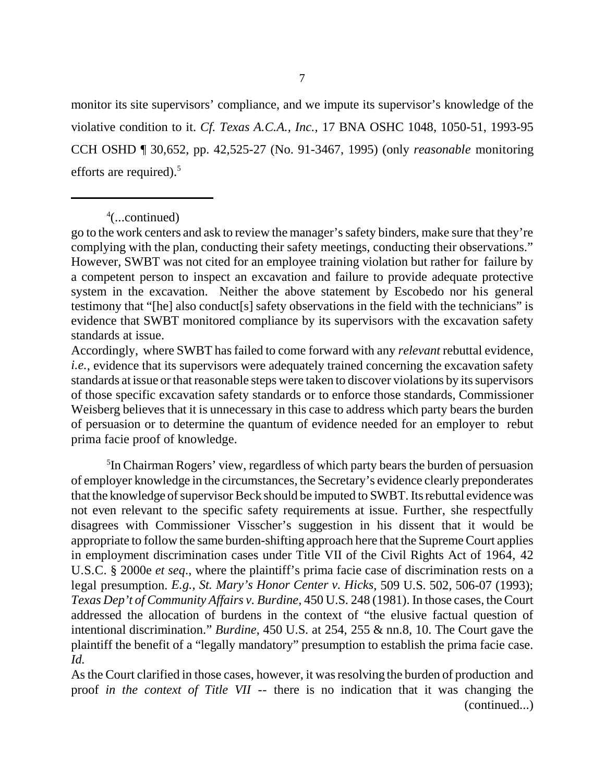monitor its site supervisors' compliance, and we impute its supervisor's knowledge of the violative condition to it. *Cf. Texas A.C.A., Inc.*, 17 BNA OSHC 1048, 1050-51, 1993-95 CCH OSHD ¶ 30,652, pp. 42,525-27 (No. 91-3467, 1995) (only *reasonable* monitoring efforts are required). $5$ 

4 (...continued)

go to the work centers and ask to review the manager's safety binders, make sure that they're complying with the plan, conducting their safety meetings, conducting their observations." However, SWBT was not cited for an employee training violation but rather for failure by a competent person to inspect an excavation and failure to provide adequate protective system in the excavation. Neither the above statement by Escobedo nor his general testimony that "[he] also conduct[s] safety observations in the field with the technicians" is evidence that SWBT monitored compliance by its supervisors with the excavation safety standards at issue.

Accordingly, where SWBT has failed to come forward with any *relevant* rebuttal evidence, *i.e.*, evidence that its supervisors were adequately trained concerning the excavation safety standards at issue or that reasonable steps were taken to discover violations by its supervisors of those specific excavation safety standards or to enforce those standards, Commissioner Weisberg believes that it is unnecessary in this case to address which party bears the burden of persuasion or to determine the quantum of evidence needed for an employer to rebut prima facie proof of knowledge.

5 In Chairman Rogers' view, regardless of which party bears the burden of persuasion of employer knowledge in the circumstances, the Secretary's evidence clearly preponderates that the knowledge of supervisor Beck should be imputed to SWBT. Its rebuttal evidence was not even relevant to the specific safety requirements at issue. Further, she respectfully disagrees with Commissioner Visscher's suggestion in his dissent that it would be appropriate to follow the same burden-shifting approach here that the Supreme Court applies in employment discrimination cases under Title VII of the Civil Rights Act of 1964, 42 U.S.C. § 2000e *et seq*., where the plaintiff's prima facie case of discrimination rests on a legal presumption. *E.g., St. Mary's Honor Center v. Hicks*, 509 U.S. 502, 506-07 (1993); *Texas Dep't of Community Affairs v. Burdine*, 450 U.S. 248 (1981). In those cases, the Court addressed the allocation of burdens in the context of "the elusive factual question of intentional discrimination." *Burdine*, 450 U.S. at 254, 255 & nn.8, 10. The Court gave the plaintiff the benefit of a "legally mandatory" presumption to establish the prima facie case. *Id.*

As the Court clarified in those cases, however, it was resolving the burden of production and proof *in the context of Title VII* -- there is no indication that it was changing the (continued...)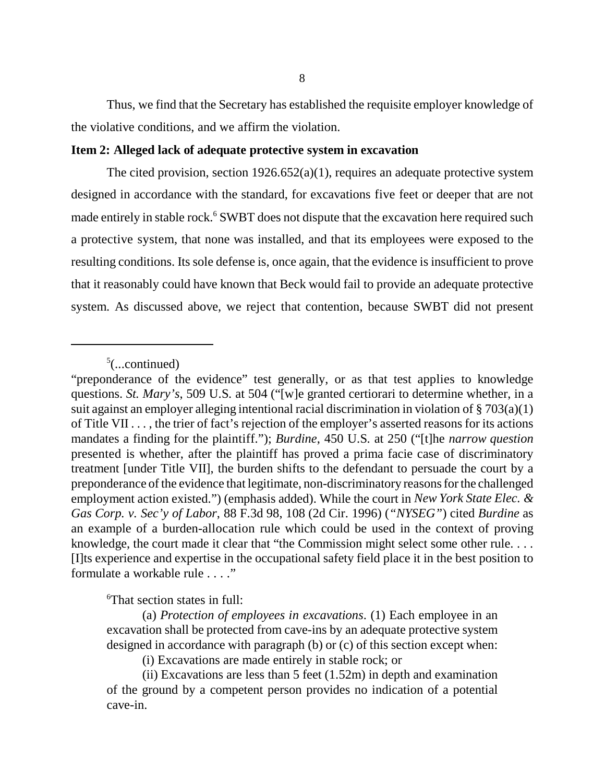Thus, we find that the Secretary has established the requisite employer knowledge of the violative conditions, and we affirm the violation.

#### **Item 2: Alleged lack of adequate protective system in excavation**

The cited provision, section  $1926.652(a)(1)$ , requires an adequate protective system designed in accordance with the standard, for excavations five feet or deeper that are not made entirely in stable rock.<sup>6</sup> SWBT does not dispute that the excavation here required such a protective system, that none was installed, and that its employees were exposed to the resulting conditions. Its sole defense is, once again, that the evidence is insufficient to prove that it reasonably could have known that Beck would fail to provide an adequate protective system. As discussed above, we reject that contention, because SWBT did not present

6 That section states in full:

(a) *Protection of employees in excavations*. (1) Each employee in an excavation shall be protected from cave-ins by an adequate protective system designed in accordance with paragraph (b) or (c) of this section except when:

(i) Excavations are made entirely in stable rock; or

(ii) Excavations are less than 5 feet (1.52m) in depth and examination of the ground by a competent person provides no indication of a potential cave-in.

 $5$ (...continued)

<sup>&</sup>quot;preponderance of the evidence" test generally, or as that test applies to knowledge questions. *St. Mary's*, 509 U.S. at 504 ("[w]e granted certiorari to determine whether, in a suit against an employer alleging intentional racial discrimination in violation of § 703(a)(1) of Title VII . . . , the trier of fact's rejection of the employer's asserted reasons for its actions mandates a finding for the plaintiff."); *Burdine*, 450 U.S. at 250 ("[t]he *narrow question* presented is whether, after the plaintiff has proved a prima facie case of discriminatory treatment [under Title VII], the burden shifts to the defendant to persuade the court by a preponderance of the evidence that legitimate, non-discriminatory reasons for the challenged employment action existed.") (emphasis added). While the court in *New York State Elec. & Gas Corp. v. Sec'y of Labor*, 88 F.3d 98, 108 (2d Cir. 1996) (*"NYSEG"*) cited *Burdine* as an example of a burden-allocation rule which could be used in the context of proving knowledge, the court made it clear that "the Commission might select some other rule. . . . [I]ts experience and expertise in the occupational safety field place it in the best position to formulate a workable rule . . . ."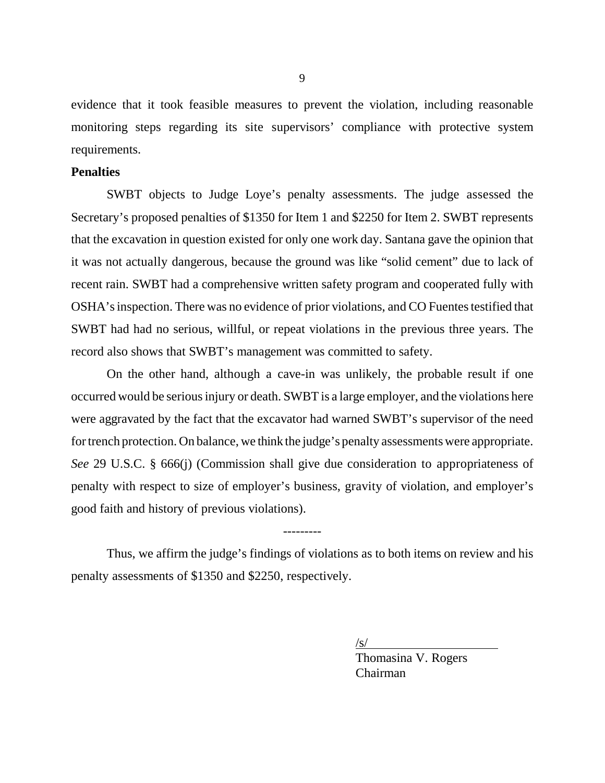evidence that it took feasible measures to prevent the violation, including reasonable monitoring steps regarding its site supervisors' compliance with protective system requirements.

## **Penalties**

SWBT objects to Judge Loye's penalty assessments. The judge assessed the Secretary's proposed penalties of \$1350 for Item 1 and \$2250 for Item 2. SWBT represents that the excavation in question existed for only one work day. Santana gave the opinion that it was not actually dangerous, because the ground was like "solid cement" due to lack of recent rain. SWBT had a comprehensive written safety program and cooperated fully with OSHA's inspection. There was no evidence of prior violations, and CO Fuentes testified that SWBT had had no serious, willful, or repeat violations in the previous three years. The record also shows that SWBT's management was committed to safety.

On the other hand, although a cave-in was unlikely, the probable result if one occurred would be serious injury or death. SWBT is a large employer, and the violations here were aggravated by the fact that the excavator had warned SWBT's supervisor of the need for trench protection. On balance, we think the judge's penalty assessments were appropriate. *See* 29 U.S.C. § 666(j) (Commission shall give due consideration to appropriateness of penalty with respect to size of employer's business, gravity of violation, and employer's good faith and history of previous violations).

Thus, we affirm the judge's findings of violations as to both items on review and his penalty assessments of \$1350 and \$2250, respectively.

---------

 $\sqrt{s/}$ 

Thomasina V. Rogers Chairman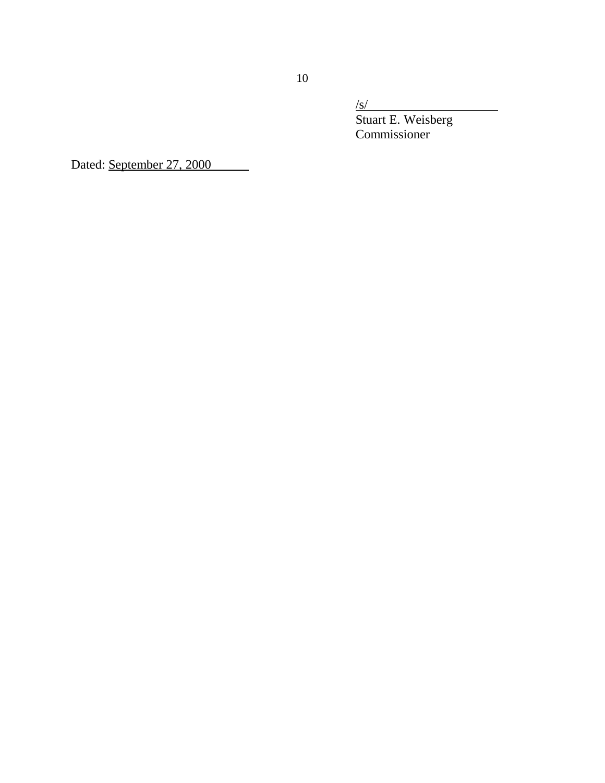$\sqrt{s/}$ 

Stuart E. Weisberg Commissioner

Dated: September 27, 2000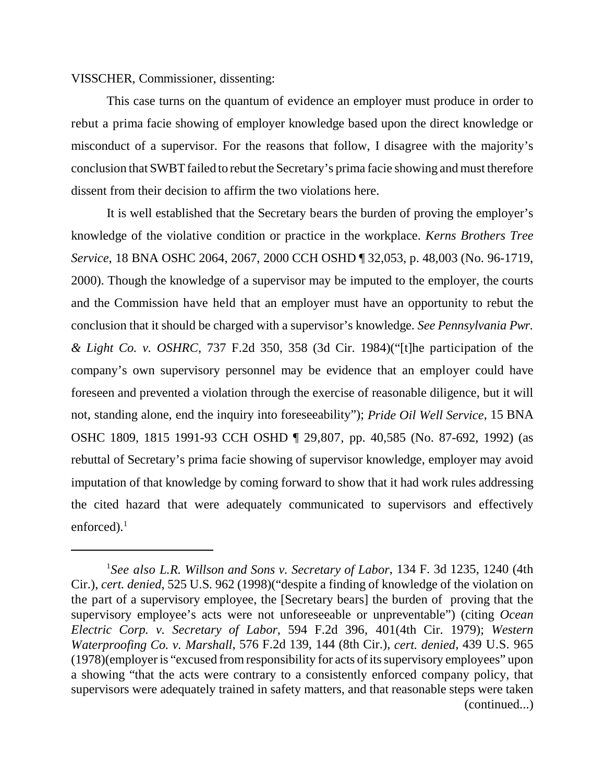VISSCHER, Commissioner, dissenting:

This case turns on the quantum of evidence an employer must produce in order to rebut a prima facie showing of employer knowledge based upon the direct knowledge or misconduct of a supervisor. For the reasons that follow, I disagree with the majority's conclusion that SWBT failed to rebut the Secretary's prima facie showing and must therefore dissent from their decision to affirm the two violations here.

It is well established that the Secretary bears the burden of proving the employer's knowledge of the violative condition or practice in the workplace. *Kerns Brothers Tree Service*, 18 BNA OSHC 2064, 2067, 2000 CCH OSHD ¶ 32,053, p. 48,003 (No. 96-1719, 2000). Though the knowledge of a supervisor may be imputed to the employer, the courts and the Commission have held that an employer must have an opportunity to rebut the conclusion that it should be charged with a supervisor's knowledge. *See Pennsylvania Pwr. & Light Co. v. OSHRC*, 737 F.2d 350, 358 (3d Cir. 1984)("[t]he participation of the company's own supervisory personnel may be evidence that an employer could have foreseen and prevented a violation through the exercise of reasonable diligence, but it will not, standing alone, end the inquiry into foreseeability"); *Pride Oil Well Service*, 15 BNA OSHC 1809, 1815 1991-93 CCH OSHD ¶ 29,807, pp. 40,585 (No. 87-692, 1992) (as rebuttal of Secretary's prima facie showing of supervisor knowledge, employer may avoid imputation of that knowledge by coming forward to show that it had work rules addressing the cited hazard that were adequately communicated to supervisors and effectively enforced). $<sup>1</sup>$ </sup>

<sup>1</sup> *See also L.R. Willson and Sons v. Secretary of Labor*, 134 F. 3d 1235, 1240 (4th Cir.), *cert. denied*, 525 U.S. 962 (1998)("despite a finding of knowledge of the violation on the part of a supervisory employee, the [Secretary bears] the burden of proving that the supervisory employee's acts were not unforeseeable or unpreventable") (citing *Ocean Electric Corp. v. Secretary of Labor*, 594 F.2d 396, 401(4th Cir. 1979); *Western Waterproofing Co. v. Marshall*, 576 F.2d 139, 144 (8th Cir.), *cert. denied*, 439 U.S. 965 (1978)(employer is "excused from responsibility for acts of its supervisory employees" upon a showing "that the acts were contrary to a consistently enforced company policy, that supervisors were adequately trained in safety matters, and that reasonable steps were taken (continued...)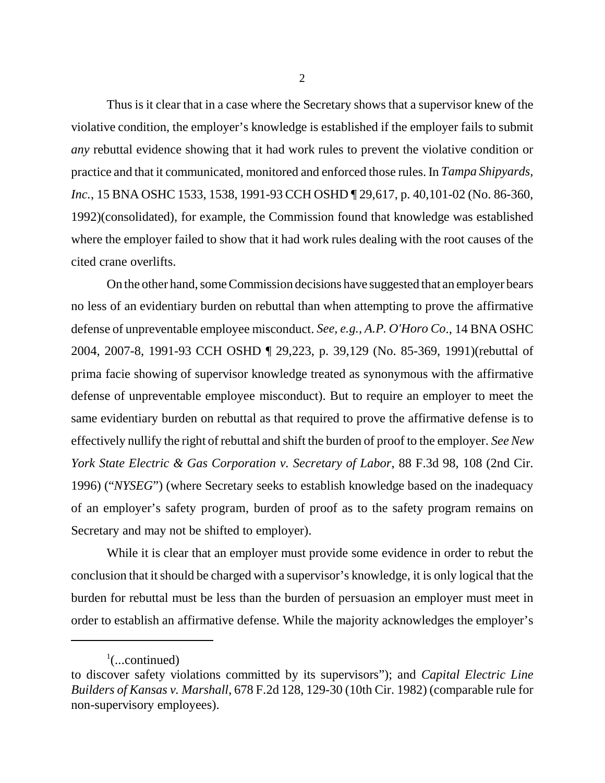Thus is it clear that in a case where the Secretary shows that a supervisor knew of the violative condition, the employer's knowledge is established if the employer fails to submit *any* rebuttal evidence showing that it had work rules to prevent the violative condition or practice and that it communicated, monitored and enforced those rules. In *Tampa Shipyards, Inc.*, 15 BNA OSHC 1533, 1538, 1991-93 CCH OSHD ¶ 29,617, p. 40,101-02 (No. 86-360, 1992)(consolidated), for example, the Commission found that knowledge was established where the employer failed to show that it had work rules dealing with the root causes of the cited crane overlifts.

On the other hand, some Commission decisions have suggested that an employer bears no less of an evidentiary burden on rebuttal than when attempting to prove the affirmative defense of unpreventable employee misconduct. *See, e.g., A.P. O'Horo Co*., 14 BNA OSHC 2004, 2007-8, 1991-93 CCH OSHD ¶ 29,223, p. 39,129 (No. 85-369, 1991)(rebuttal of prima facie showing of supervisor knowledge treated as synonymous with the affirmative defense of unpreventable employee misconduct). But to require an employer to meet the same evidentiary burden on rebuttal as that required to prove the affirmative defense is to effectively nullify the right of rebuttal and shift the burden of proof to the employer. *See New York State Electric & Gas Corporation v. Secretary of Labor*, 88 F.3d 98, 108 (2nd Cir. 1996) ("*NYSEG*") (where Secretary seeks to establish knowledge based on the inadequacy of an employer's safety program, burden of proof as to the safety program remains on Secretary and may not be shifted to employer).

While it is clear that an employer must provide some evidence in order to rebut the conclusion that it should be charged with a supervisor's knowledge, it is only logical that the burden for rebuttal must be less than the burden of persuasion an employer must meet in order to establish an affirmative defense. While the majority acknowledges the employer's

 $\frac{1}{2}$ (...continued)

to discover safety violations committed by its supervisors"); and *Capital Electric Line Builders of Kansas v. Marshall*, 678 F.2d 128, 129-30 (10th Cir. 1982) (comparable rule for non-supervisory employees).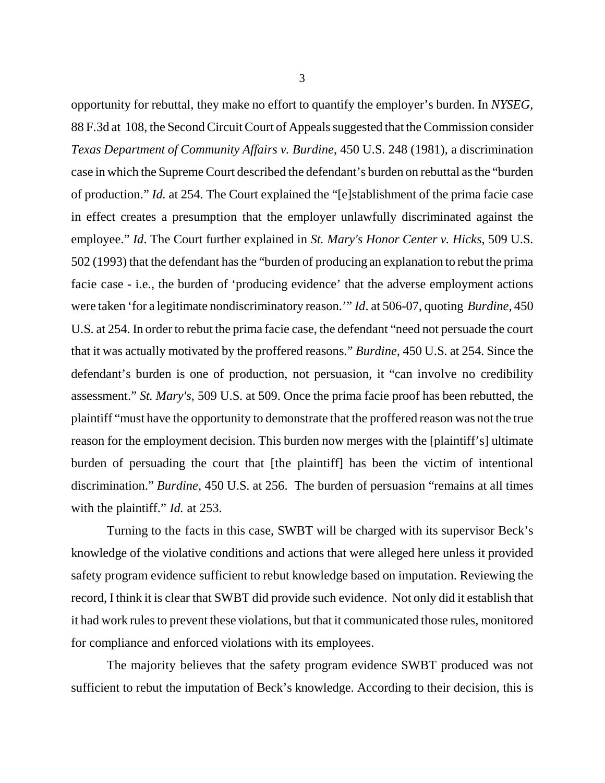opportunity for rebuttal, they make no effort to quantify the employer's burden. In *NYSEG*, 88 F.3d at 108, the Second Circuit Court of Appeals suggested that the Commission consider *Texas Department of Community Affairs v. Burdine*, 450 U.S. 248 (1981), a discrimination case in which the Supreme Court described the defendant's burden on rebuttal as the "burden of production." *Id.* at 254. The Court explained the "[e]stablishment of the prima facie case in effect creates a presumption that the employer unlawfully discriminated against the employee." *Id*. The Court further explained in *St. Mary's Honor Center v. Hicks*, 509 U.S. 502 (1993) that the defendant has the "burden of producing an explanation to rebut the prima facie case - i.e., the burden of 'producing evidence' that the adverse employment actions were taken 'for a legitimate nondiscriminatory reason.'" *Id*. at 506-07, quoting *Burdine,* 450 U.S. at 254. In order to rebut the prima facie case, the defendant "need not persuade the court that it was actually motivated by the proffered reasons." *Burdine,* 450 U.S. at 254. Since the defendant's burden is one of production, not persuasion, it "can involve no credibility assessment." *St. Mary's,* 509 U.S. at 509. Once the prima facie proof has been rebutted, the plaintiff "must have the opportunity to demonstrate that the proffered reason was not the true reason for the employment decision. This burden now merges with the [plaintiff's] ultimate burden of persuading the court that [the plaintiff] has been the victim of intentional discrimination." *Burdine,* 450 U.S. at 256. The burden of persuasion "remains at all times with the plaintiff." *Id.* at 253.

Turning to the facts in this case, SWBT will be charged with its supervisor Beck's knowledge of the violative conditions and actions that were alleged here unless it provided safety program evidence sufficient to rebut knowledge based on imputation. Reviewing the record, I think it is clear that SWBT did provide such evidence. Not only did it establish that it had work rules to prevent these violations, but that it communicated those rules, monitored for compliance and enforced violations with its employees.

The majority believes that the safety program evidence SWBT produced was not sufficient to rebut the imputation of Beck's knowledge. According to their decision, this is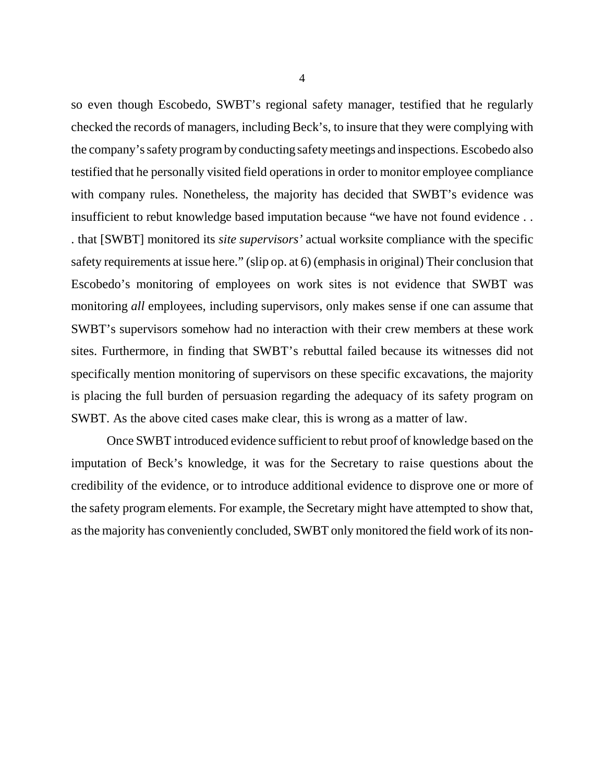so even though Escobedo, SWBT's regional safety manager, testified that he regularly checked the records of managers, including Beck's, to insure that they were complying with the company's safety program by conducting safety meetings and inspections. Escobedo also testified that he personally visited field operations in order to monitor employee compliance with company rules. Nonetheless, the majority has decided that SWBT's evidence was insufficient to rebut knowledge based imputation because "we have not found evidence . . . that [SWBT] monitored its *site supervisors'* actual worksite compliance with the specific safety requirements at issue here." (slip op. at 6) (emphasis in original) Their conclusion that Escobedo's monitoring of employees on work sites is not evidence that SWBT was monitoring *all* employees, including supervisors, only makes sense if one can assume that SWBT's supervisors somehow had no interaction with their crew members at these work sites. Furthermore, in finding that SWBT's rebuttal failed because its witnesses did not specifically mention monitoring of supervisors on these specific excavations, the majority is placing the full burden of persuasion regarding the adequacy of its safety program on SWBT. As the above cited cases make clear, this is wrong as a matter of law.

Once SWBT introduced evidence sufficient to rebut proof of knowledge based on the imputation of Beck's knowledge, it was for the Secretary to raise questions about the credibility of the evidence, or to introduce additional evidence to disprove one or more of the safety program elements. For example, the Secretary might have attempted to show that, as the majority has conveniently concluded, SWBT only monitored the field work of its non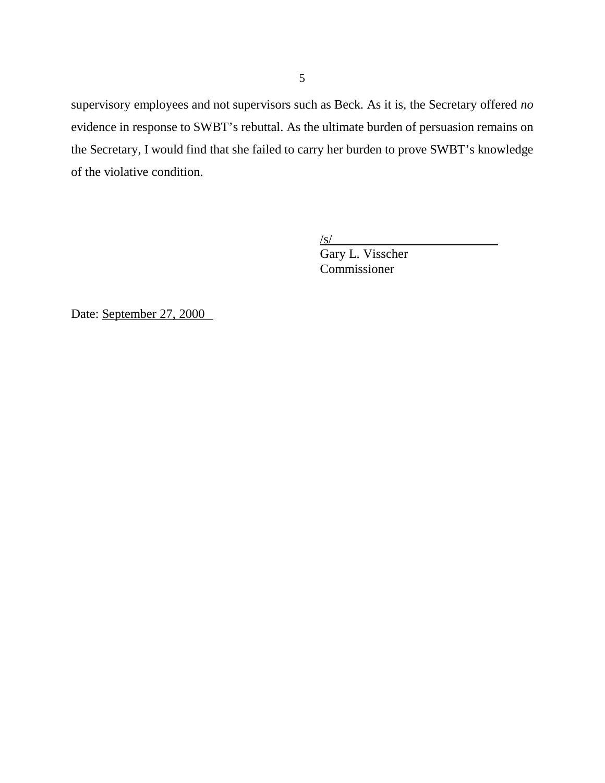supervisory employees and not supervisors such as Beck. As it is, the Secretary offered *no* evidence in response to SWBT's rebuttal. As the ultimate burden of persuasion remains on the Secretary, I would find that she failed to carry her burden to prove SWBT's knowledge of the violative condition.

 $\sqrt{s}$ /

Gary L. Visscher Commissioner

Date: September 27, 2000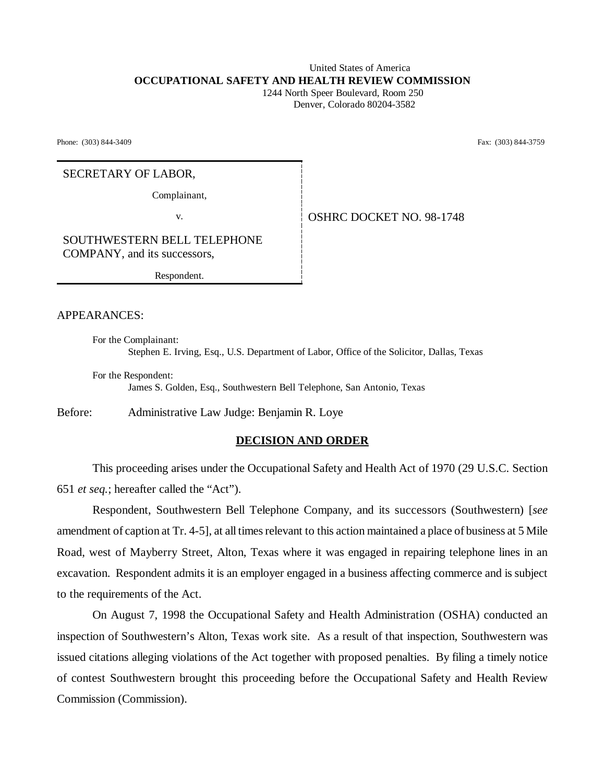# United States of America **OCCUPATIONAL SAFETY AND HEALTH REVIEW COMMISSION**

 1244 North Speer Boulevard, Room 250 Denver, Colorado 80204-3582

Phone: (303) 844-3409 Fax: (303) 844-3759

#### SECRETARY OF LABOR,

Complainant,

v. Same **OSHRC DOCKET NO. 98-1748** 

SOUTHWESTERN BELL TELEPHONE COMPANY, and its successors,

Respondent.

APPEARANCES:

For the Complainant: Stephen E. Irving, Esq., U.S. Department of Labor, Office of the Solicitor, Dallas, Texas

For the Respondent: James S. Golden, Esq., Southwestern Bell Telephone, San Antonio, Texas

Before: Administrative Law Judge: Benjamin R. Loye

## **DECISION AND ORDER**

This proceeding arises under the Occupational Safety and Health Act of 1970 (29 U.S.C. Section 651 *et seq.*; hereafter called the "Act").

Respondent, Southwestern Bell Telephone Company, and its successors (Southwestern) [*see* amendment of caption at Tr. 4-5], at all times relevant to this action maintained a place of business at 5 Mile Road, west of Mayberry Street, Alton, Texas where it was engaged in repairing telephone lines in an excavation. Respondent admits it is an employer engaged in a business affecting commerce and is subject to the requirements of the Act.

On August 7, 1998 the Occupational Safety and Health Administration (OSHA) conducted an inspection of Southwestern's Alton, Texas work site. As a result of that inspection, Southwestern was issued citations alleging violations of the Act together with proposed penalties. By filing a timely notice of contest Southwestern brought this proceeding before the Occupational Safety and Health Review Commission (Commission).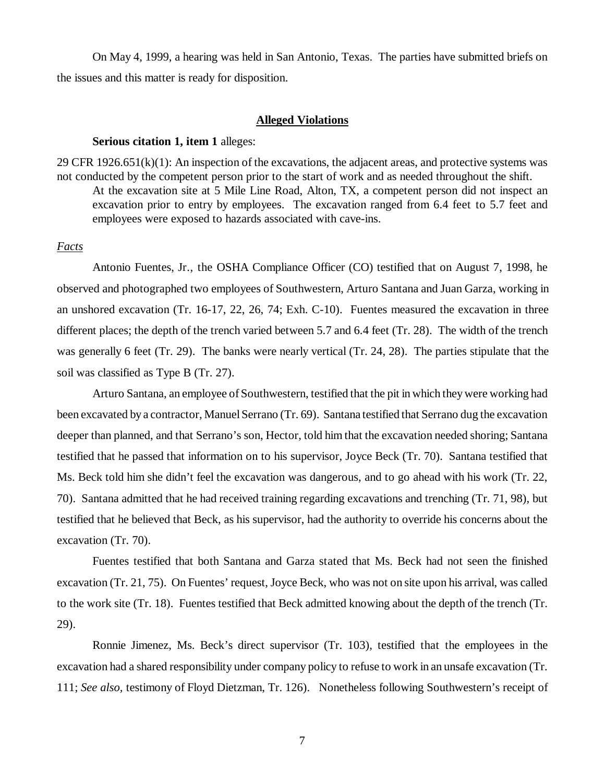On May 4, 1999, a hearing was held in San Antonio, Texas. The parties have submitted briefs on the issues and this matter is ready for disposition.

#### **Alleged Violations**

#### **Serious citation 1, item 1** alleges:

29 CFR 1926.651(k)(1): An inspection of the excavations, the adjacent areas, and protective systems was not conducted by the competent person prior to the start of work and as needed throughout the shift. At the excavation site at 5 Mile Line Road, Alton, TX, a competent person did not inspect an excavation prior to entry by employees. The excavation ranged from 6.4 feet to 5.7 feet and employees were exposed to hazards associated with cave-ins.

## *Facts*

Antonio Fuentes, Jr., the OSHA Compliance Officer (CO) testified that on August 7, 1998, he observed and photographed two employees of Southwestern, Arturo Santana and Juan Garza, working in an unshored excavation (Tr. 16-17, 22, 26, 74; Exh. C-10). Fuentes measured the excavation in three different places; the depth of the trench varied between 5.7 and 6.4 feet (Tr. 28). The width of the trench was generally 6 feet (Tr. 29). The banks were nearly vertical (Tr. 24, 28). The parties stipulate that the soil was classified as Type B (Tr. 27).

Arturo Santana, an employee of Southwestern, testified that the pit in which they were working had been excavated by a contractor, Manuel Serrano (Tr. 69). Santana testified that Serrano dug the excavation deeper than planned, and that Serrano's son, Hector, told him that the excavation needed shoring; Santana testified that he passed that information on to his supervisor, Joyce Beck (Tr. 70). Santana testified that Ms. Beck told him she didn't feel the excavation was dangerous, and to go ahead with his work (Tr. 22, 70). Santana admitted that he had received training regarding excavations and trenching (Tr. 71, 98), but testified that he believed that Beck, as his supervisor, had the authority to override his concerns about the excavation (Tr. 70).

Fuentes testified that both Santana and Garza stated that Ms. Beck had not seen the finished excavation (Tr. 21, 75). On Fuentes' request, Joyce Beck, who was not on site upon his arrival, was called to the work site (Tr. 18). Fuentes testified that Beck admitted knowing about the depth of the trench (Tr. 29).

Ronnie Jimenez, Ms. Beck's direct supervisor (Tr. 103), testified that the employees in the excavation had a shared responsibility under company policy to refuse to work in an unsafe excavation (Tr. 111; *See also,* testimony of Floyd Dietzman, Tr. 126). Nonetheless following Southwestern's receipt of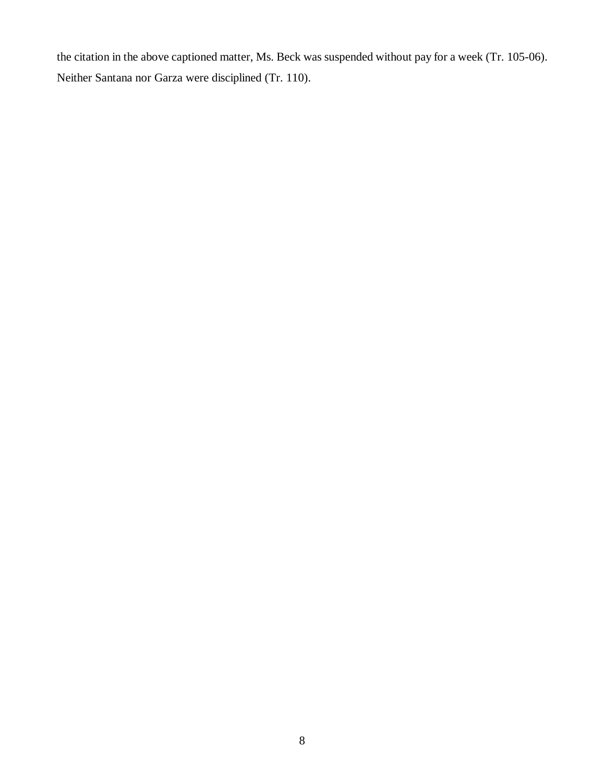the citation in the above captioned matter, Ms. Beck was suspended without pay for a week (Tr. 105-06). Neither Santana nor Garza were disciplined (Tr. 110).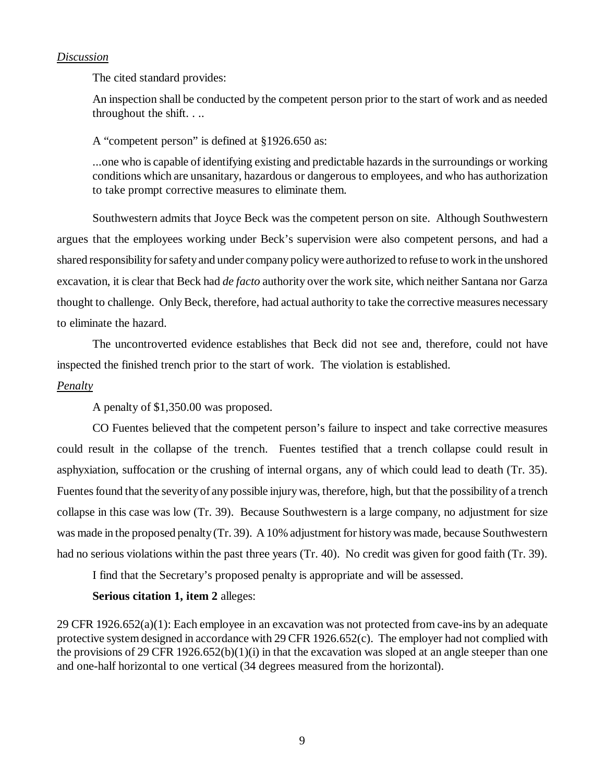## *Discussion*

The cited standard provides:

An inspection shall be conducted by the competent person prior to the start of work and as needed throughout the shift. . ..

A "competent person" is defined at §1926.650 as:

...one who is capable of identifying existing and predictable hazards in the surroundings or working conditions which are unsanitary, hazardous or dangerous to employees, and who has authorization to take prompt corrective measures to eliminate them.

Southwestern admits that Joyce Beck was the competent person on site. Although Southwestern argues that the employees working under Beck's supervision were also competent persons, and had a shared responsibility for safety and under company policy were authorized to refuse to work in the unshored excavation, it is clear that Beck had *de facto* authority over the work site, which neither Santana nor Garza thought to challenge. Only Beck, therefore, had actual authority to take the corrective measures necessary to eliminate the hazard.

The uncontroverted evidence establishes that Beck did not see and, therefore, could not have inspected the finished trench prior to the start of work. The violation is established.

#### *Penalty*

A penalty of \$1,350.00 was proposed.

CO Fuentes believed that the competent person's failure to inspect and take corrective measures could result in the collapse of the trench. Fuentes testified that a trench collapse could result in asphyxiation, suffocation or the crushing of internal organs, any of which could lead to death (Tr. 35). Fuentes found that the severity of any possible injury was, therefore, high, but that the possibility of a trench collapse in this case was low (Tr. 39). Because Southwestern is a large company, no adjustment for size was made in the proposed penalty (Tr. 39). A 10% adjustment for history was made, because Southwestern had no serious violations within the past three years (Tr. 40). No credit was given for good faith (Tr. 39).

I find that the Secretary's proposed penalty is appropriate and will be assessed.

#### **Serious citation 1, item 2** alleges:

29 CFR 1926.652(a)(1): Each employee in an excavation was not protected from cave-ins by an adequate protective system designed in accordance with 29 CFR 1926.652(c). The employer had not complied with the provisions of 29 CFR 1926.652(b)(1)(i) in that the excavation was sloped at an angle steeper than one and one-half horizontal to one vertical (34 degrees measured from the horizontal).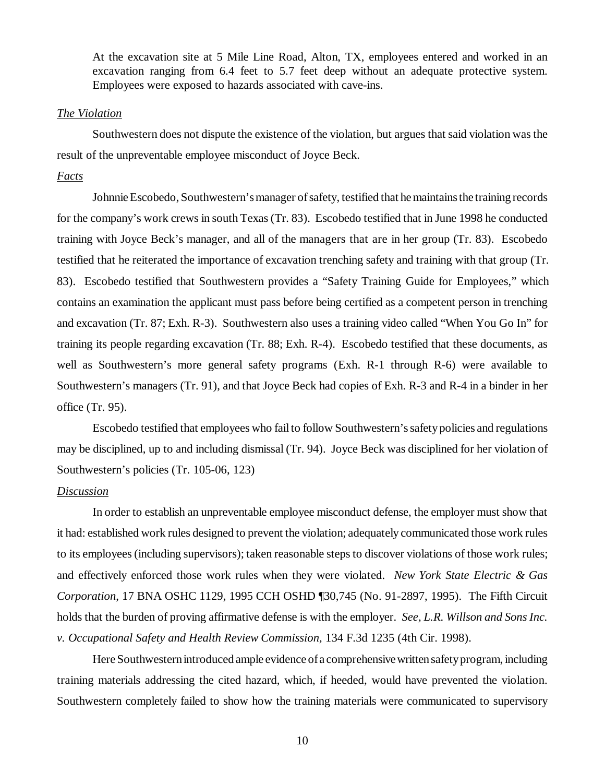At the excavation site at 5 Mile Line Road, Alton, TX, employees entered and worked in an excavation ranging from 6.4 feet to 5.7 feet deep without an adequate protective system. Employees were exposed to hazards associated with cave-ins.

#### *The Violation*

Southwestern does not dispute the existence of the violation, but argues that said violation was the result of the unpreventable employee misconduct of Joyce Beck.

## *Facts*

Johnnie Escobedo, Southwestern's manager of safety, testified that he maintains the training records for the company's work crews in south Texas (Tr. 83). Escobedo testified that in June 1998 he conducted training with Joyce Beck's manager, and all of the managers that are in her group (Tr. 83). Escobedo testified that he reiterated the importance of excavation trenching safety and training with that group (Tr. 83). Escobedo testified that Southwestern provides a "Safety Training Guide for Employees," which contains an examination the applicant must pass before being certified as a competent person in trenching and excavation (Tr. 87; Exh. R-3). Southwestern also uses a training video called "When You Go In" for training its people regarding excavation (Tr. 88; Exh. R-4). Escobedo testified that these documents, as well as Southwestern's more general safety programs (Exh. R-1 through R-6) were available to Southwestern's managers (Tr. 91), and that Joyce Beck had copies of Exh. R-3 and R-4 in a binder in her office (Tr. 95).

Escobedo testified that employees who fail to follow Southwestern's safety policies and regulations may be disciplined, up to and including dismissal (Tr. 94). Joyce Beck was disciplined for her violation of Southwestern's policies (Tr. 105-06, 123)

## *Discussion*

In order to establish an unpreventable employee misconduct defense, the employer must show that it had: established work rules designed to prevent the violation; adequately communicated those work rules to its employees (including supervisors); taken reasonable steps to discover violations of those work rules; and effectively enforced those work rules when they were violated. *New York State Electric & Gas Corporation*, 17 BNA OSHC 1129, 1995 CCH OSHD ¶30,745 (No. 91-2897, 1995). The Fifth Circuit holds that the burden of proving affirmative defense is with the employer. *See, L.R. Willson and Sons Inc. v. Occupational Safety and Health Review Commission,* 134 F.3d 1235 (4th Cir. 1998).

Here Southwestern introduced ample evidence of a comprehensive written safety program, including training materials addressing the cited hazard, which, if heeded, would have prevented the violation. Southwestern completely failed to show how the training materials were communicated to supervisory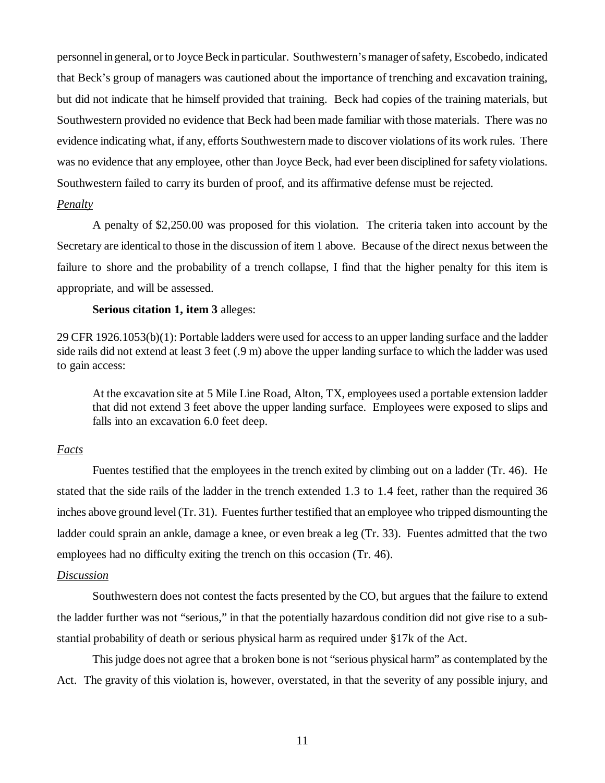personnel in general, or to Joyce Beck in particular. Southwestern's manager of safety, Escobedo, indicated that Beck's group of managers was cautioned about the importance of trenching and excavation training, but did not indicate that he himself provided that training. Beck had copies of the training materials, but Southwestern provided no evidence that Beck had been made familiar with those materials. There was no evidence indicating what, if any, efforts Southwestern made to discover violations of its work rules. There was no evidence that any employee, other than Joyce Beck, had ever been disciplined for safety violations. Southwestern failed to carry its burden of proof, and its affirmative defense must be rejected.

#### *Penalty*

A penalty of \$2,250.00 was proposed for this violation. The criteria taken into account by the Secretary are identical to those in the discussion of item 1 above. Because of the direct nexus between the failure to shore and the probability of a trench collapse, I find that the higher penalty for this item is appropriate, and will be assessed.

## **Serious citation 1, item 3** alleges:

29 CFR 1926.1053(b)(1): Portable ladders were used for access to an upper landing surface and the ladder side rails did not extend at least 3 feet (.9 m) above the upper landing surface to which the ladder was used to gain access:

At the excavation site at 5 Mile Line Road, Alton, TX, employees used a portable extension ladder that did not extend 3 feet above the upper landing surface. Employees were exposed to slips and falls into an excavation 6.0 feet deep.

#### *Facts*

Fuentes testified that the employees in the trench exited by climbing out on a ladder (Tr. 46). He stated that the side rails of the ladder in the trench extended 1.3 to 1.4 feet, rather than the required 36 inches above ground level (Tr. 31). Fuentes further testified that an employee who tripped dismounting the ladder could sprain an ankle, damage a knee, or even break a leg (Tr. 33). Fuentes admitted that the two employees had no difficulty exiting the trench on this occasion (Tr. 46).

#### *Discussion*

Southwestern does not contest the facts presented by the CO, but argues that the failure to extend the ladder further was not "serious," in that the potentially hazardous condition did not give rise to a substantial probability of death or serious physical harm as required under §17k of the Act.

This judge does not agree that a broken bone is not "serious physical harm" as contemplated by the Act. The gravity of this violation is, however, overstated, in that the severity of any possible injury, and